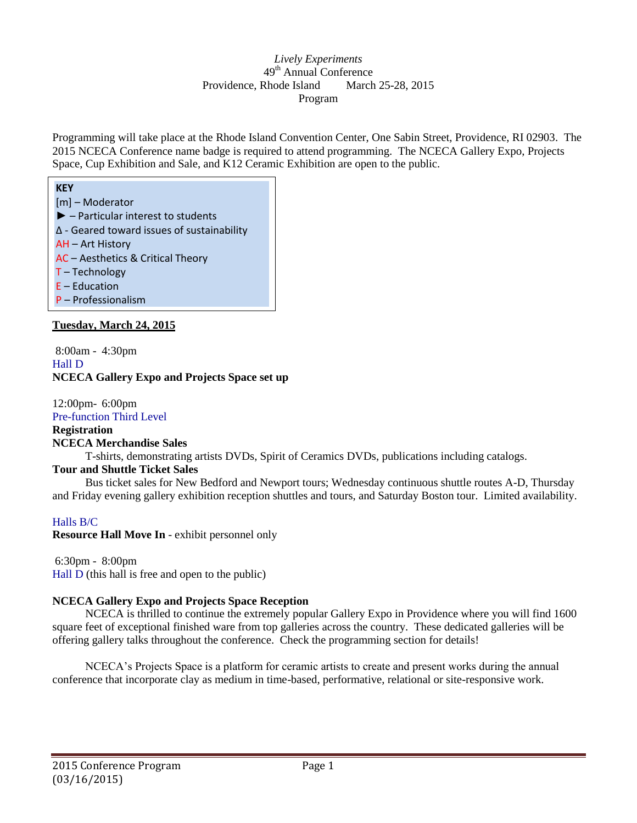# *Lively Experiments* 49<sup>th</sup> Annual Conference Providence, Rhode Island March 25-28, 2015 Program

Programming will take place at the Rhode Island Convention Center, One Sabin Street, Providence, RI 02903. The 2015 NCECA Conference name badge is required to attend programming. The NCECA Gallery Expo, Projects Space, Cup Exhibition and Sale, and K12 Ceramic Exhibition are open to the public.

| <b>KEY</b>                                              |
|---------------------------------------------------------|
| [m] - Moderator                                         |
| $\blacktriangleright$ - Particular interest to students |
| $\Delta$ - Geared toward issues of sustainability       |
| AH - Art History                                        |
| AC - Aesthetics & Critical Theory                       |
| $T - Technology$                                        |
| $E - Education$                                         |
| P - Professionalism                                     |

# **Tuesday, March 24, 2015**

8:00am - 4:30pm Hall D **NCECA Gallery Expo and Projects Space set up**

12:00pm- 6:00pm Pre-function Third Level

**Registration NCECA Merchandise Sales**

T-shirts, demonstrating artists DVDs, Spirit of Ceramics DVDs, publications including catalogs.

# **Tour and Shuttle Ticket Sales**

Bus ticket sales for New Bedford and Newport tours; Wednesday continuous shuttle routes A-D, Thursday and Friday evening gallery exhibition reception shuttles and tours, and Saturday Boston tour. Limited availability.

# Halls B/C

**Resource Hall Move In** - exhibit personnel only

6:30pm - 8:00pm

Hall D (this hall is free and open to the public)

# **NCECA Gallery Expo and Projects Space Reception**

NCECA is thrilled to continue the extremely popular Gallery Expo in Providence where you will find 1600 square feet of exceptional finished ware from top galleries across the country. These dedicated galleries will be offering gallery talks throughout the conference. Check the programming section for details!

NCECA's Projects Space is a platform for ceramic artists to create and present works during the annual conference that incorporate clay as medium in time-based, performative, relational or site-responsive work.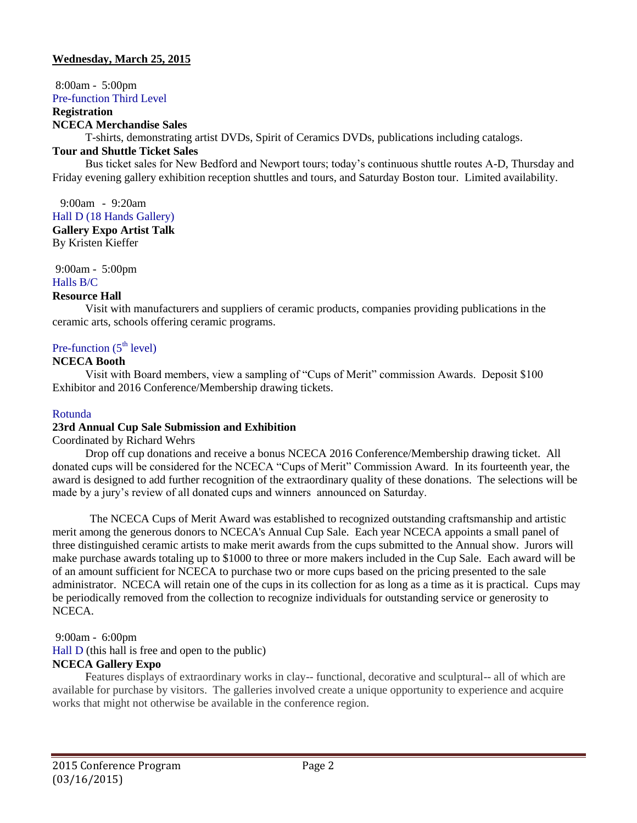# **Wednesday, March 25, 2015**

8:00am - 5:00pm

Pre-function Third Level

#### **Registration**

#### **NCECA Merchandise Sales**

T-shirts, demonstrating artist DVDs, Spirit of Ceramics DVDs, publications including catalogs.

### **Tour and Shuttle Ticket Sales**

Bus ticket sales for New Bedford and Newport tours; today's continuous shuttle routes A-D, Thursday and Friday evening gallery exhibition reception shuttles and tours, and Saturday Boston tour. Limited availability.

9:00am - 9:20am Hall D (18 Hands Gallery)

**Gallery Expo Artist Talk** By Kristen Kieffer

9:00am - 5:00pm

# Halls B/C

# **Resource Hall**

Visit with manufacturers and suppliers of ceramic products, companies providing publications in the ceramic arts, schools offering ceramic programs.

# Pre-function  $(5<sup>th</sup> level)$

## **NCECA Booth**

Visit with Board members, view a sampling of "Cups of Merit" commission Awards. Deposit \$100 Exhibitor and 2016 Conference/Membership drawing tickets.

### Rotunda

### **23rd Annual Cup Sale Submission and Exhibition**

Coordinated by Richard Wehrs

Drop off cup donations and receive a bonus NCECA 2016 Conference/Membership drawing ticket. All donated cups will be considered for the NCECA "Cups of Merit" Commission Award. In its fourteenth year, the award is designed to add further recognition of the extraordinary quality of these donations. The selections will be made by a jury's review of all donated cups and winners announced on Saturday.

The NCECA Cups of Merit Award was established to recognized outstanding craftsmanship and artistic merit among the generous donors to NCECA's Annual Cup Sale. Each year NCECA appoints a small panel of three distinguished ceramic artists to make merit awards from the cups submitted to the Annual show. Jurors will make purchase awards totaling up to \$1000 to three or more makers included in the Cup Sale. Each award will be of an amount sufficient for NCECA to purchase two or more cups based on the pricing presented to the sale administrator. NCECA will retain one of the cups in its collection for as long as a time as it is practical. Cups may be periodically removed from the collection to recognize individuals for outstanding service or generosity to NCECA.

### 9:00am - 6:00pm

Hall D (this hall is free and open to the public)

# **NCECA Gallery Expo**

Features displays of extraordinary works in clay-- functional, decorative and sculptural-- all of which are available for purchase by visitors. The galleries involved create a unique opportunity to experience and acquire works that might not otherwise be available in the conference region.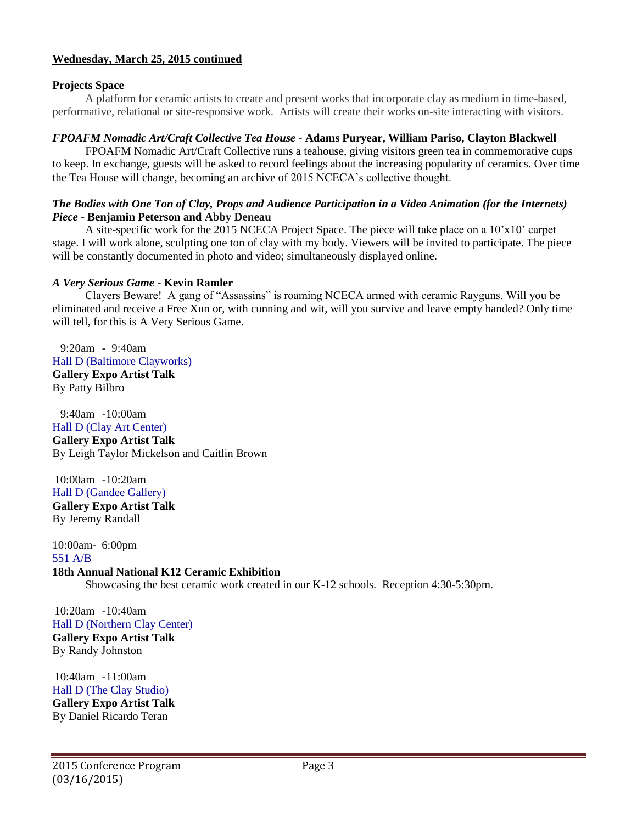### **Projects Space**

A platform for ceramic artists to create and present works that incorporate clay as medium in time-based, performative, relational or site-responsive work. Artists will create their works on-site interacting with visitors.

## *FPOAFM Nomadic Art/Craft Collective Tea House* **- Adams Puryear, William Pariso, Clayton Blackwell**

FPOAFM Nomadic Art/Craft Collective runs a teahouse, giving visitors green tea in commemorative cups to keep. In exchange, guests will be asked to record feelings about the increasing popularity of ceramics. Over time the Tea House will change, becoming an archive of 2015 NCECA's collective thought.

### *The Bodies with One Ton of Clay, Props and Audience Participation in a Video Animation (for the Internets) Piece* **- Benjamin Peterson and Abby Deneau**

A site-specific work for the 2015 NCECA Project Space. The piece will take place on a 10'x10' carpet stage. I will work alone, sculpting one ton of clay with my body. Viewers will be invited to participate. The piece will be constantly documented in photo and video; simultaneously displayed online.

# *A Very Serious Game* **- Kevin Ramler**

Clayers Beware! A gang of "Assassins" is roaming NCECA armed with ceramic Rayguns. Will you be eliminated and receive a Free Xun or, with cunning and wit, will you survive and leave empty handed? Only time will tell, for this is A Very Serious Game.

9:20am - 9:40am Hall D (Baltimore Clayworks)

**Gallery Expo Artist Talk** By Patty Bilbro

9:40am -10:00am Hall D (Clay Art Center) **Gallery Expo Artist Talk** By Leigh Taylor Mickelson and Caitlin Brown

10:00am -10:20am Hall D (Gandee Gallery) **Gallery Expo Artist Talk** By Jeremy Randall

10:00am- 6:00pm 551 A/B

**18th Annual National K12 Ceramic Exhibition** Showcasing the best ceramic work created in our K-12 schools. Reception 4:30-5:30pm.

10:20am -10:40am Hall D (Northern Clay Center) **Gallery Expo Artist Talk** By Randy Johnston

10:40am -11:00am Hall D (The Clay Studio) **Gallery Expo Artist Talk** By Daniel Ricardo Teran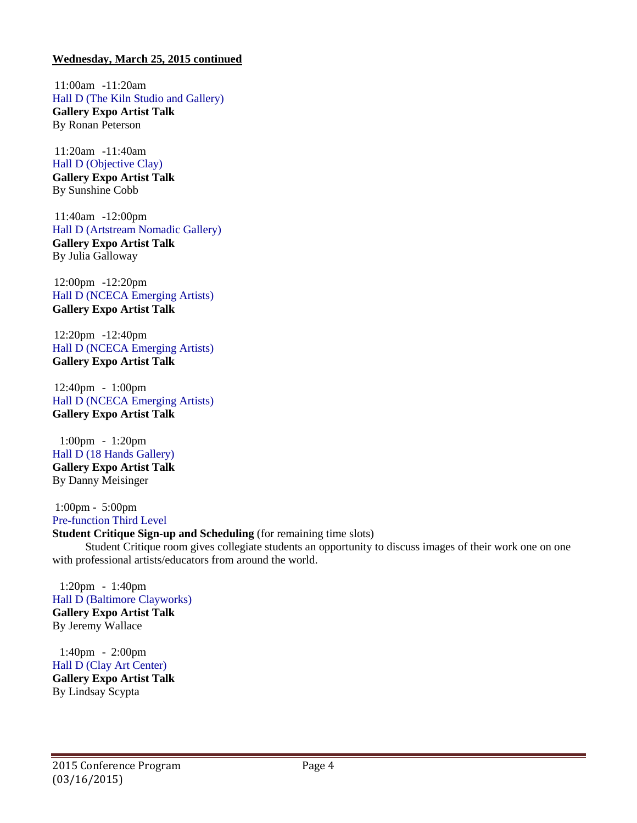11:00am -11:20am Hall D (The Kiln Studio and Gallery) **Gallery Expo Artist Talk** By Ronan Peterson

11:20am -11:40am Hall D (Objective Clay)

**Gallery Expo Artist Talk** By Sunshine Cobb

11:40am -12:00pm Hall D (Artstream Nomadic Gallery) **Gallery Expo Artist Talk** By Julia Galloway

12:00pm -12:20pm Hall D (NCECA Emerging Artists) **Gallery Expo Artist Talk**

12:20pm -12:40pm Hall D (NCECA Emerging Artists) **Gallery Expo Artist Talk**

12:40pm - 1:00pm Hall D (NCECA Emerging Artists) **Gallery Expo Artist Talk**

1:00pm - 1:20pm Hall D (18 Hands Gallery) **Gallery Expo Artist Talk** By Danny Meisinger

1:00pm - 5:00pm Pre-function Third Level

### **Student Critique Sign-up and Scheduling** (for remaining time slots)

Student Critique room gives collegiate students an opportunity to discuss images of their work one on one with professional artists/educators from around the world.

1:20pm - 1:40pm Hall D (Baltimore Clayworks) **Gallery Expo Artist Talk** By Jeremy Wallace

1:40pm - 2:00pm Hall D (Clay Art Center) **Gallery Expo Artist Talk** By Lindsay Scypta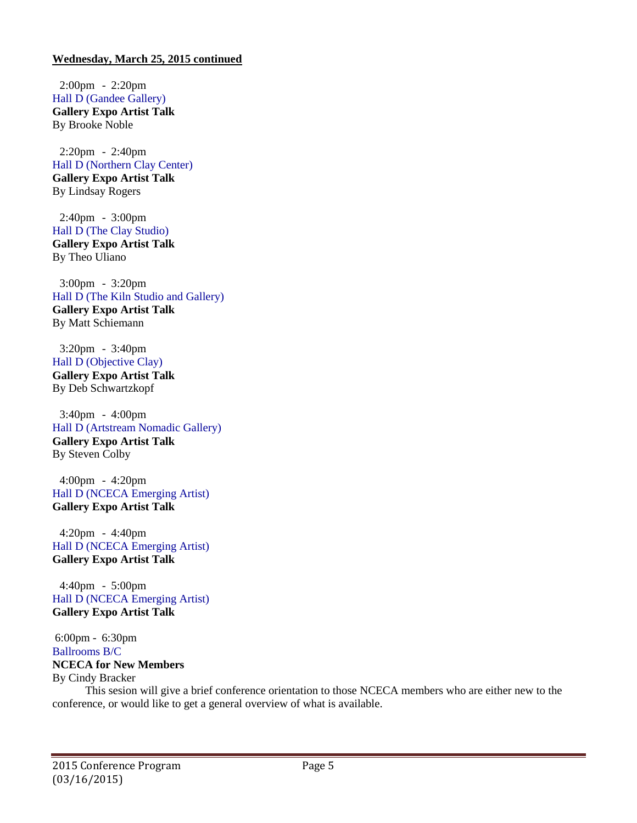2:00pm - 2:20pm Hall D (Gandee Gallery) **Gallery Expo Artist Talk** By Brooke Noble

2:20pm - 2:40pm Hall D (Northern Clay Center) **Gallery Expo Artist Talk** By Lindsay Rogers

2:40pm - 3:00pm Hall D (The Clay Studio) **Gallery Expo Artist Talk** By Theo Uliano

3:00pm - 3:20pm Hall D (The Kiln Studio and Gallery) **Gallery Expo Artist Talk** By Matt Schiemann

3:20pm - 3:40pm Hall D (Objective Clay) **Gallery Expo Artist Talk** By Deb Schwartzkopf

3:40pm - 4:00pm Hall D (Artstream Nomadic Gallery) **Gallery Expo Artist Talk** By Steven Colby

4:00pm - 4:20pm Hall D (NCECA Emerging Artist) **Gallery Expo Artist Talk**

4:20pm - 4:40pm Hall D (NCECA Emerging Artist) **Gallery Expo Artist Talk**

4:40pm - 5:00pm Hall D (NCECA Emerging Artist) **Gallery Expo Artist Talk**

6:00pm - 6:30pm Ballrooms B/C **NCECA for New Members** By Cindy Bracker

This sesion will give a brief conference orientation to those NCECA members who are either new to the conference, or would like to get a general overview of what is available.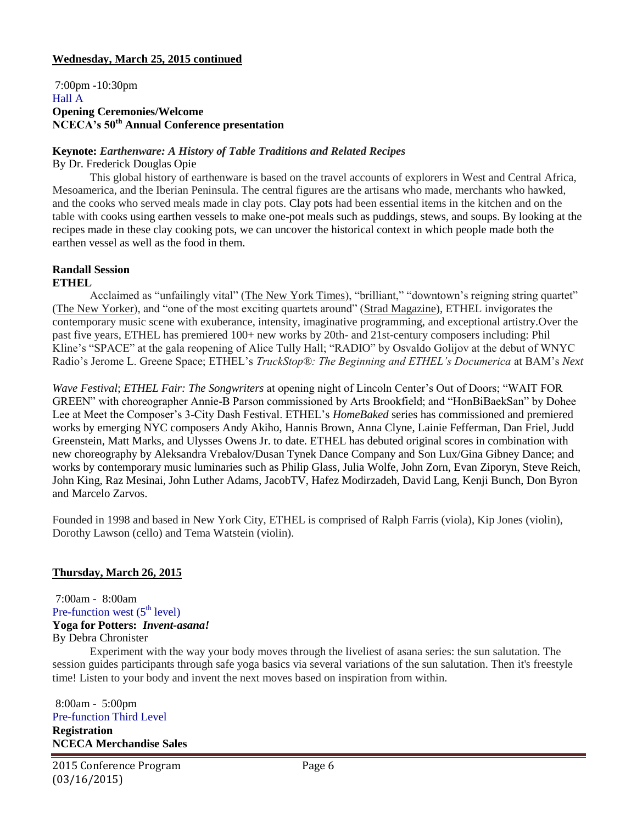7:00pm -10:30pm Hall A **Opening Ceremonies/Welcome NCECA's 50th Annual Conference presentation**

## **Keynote:** *Earthenware: A History of Table Traditions and Related Recipes*

By Dr. Frederick Douglas Opie

This global history of earthenware is based on the travel accounts of explorers in West and Central Africa, Mesoamerica, and the Iberian Peninsula. The central figures are the artisans who made, merchants who hawked, and the cooks who served meals made in clay pots. Clay pots had been essential items in the kitchen and on the table with cooks using earthen vessels to make one-pot meals such as puddings, stews, and soups. By looking at the recipes made in these clay cooking pots, we can uncover the historical context in which people made both the earthen vessel as well as the food in them.

#### **Randall Session ETHEL**

Acclaimed as "unfailingly vital" (The New York Times), "brilliant," "downtown's reigning string quartet" (The New Yorker), and "one of the most exciting quartets around" (Strad Magazine), ETHEL invigorates the contemporary music scene with exuberance, intensity, imaginative programming, and exceptional artistry.Over the past five years, ETHEL has premiered 100+ new works by 20th- and 21st-century composers including: Phil Kline's "SPACE" at the gala reopening of Alice Tully Hall; "RADIO" by Osvaldo Golijov at the debut of WNYC Radio's Jerome L. Greene Space; ETHEL's *TruckStop®: The Beginning and ETHEL's Documerica* at BAM's *Next*

*Wave Festival*; *ETHEL Fair: The Songwriters* at opening night of Lincoln Center's Out of Doors; "WAIT FOR GREEN" with choreographer Annie-B Parson commissioned by Arts Brookfield; and "HonBiBaekSan" by Dohee Lee at Meet the Composer's 3-City Dash Festival. ETHEL's *HomeBaked* series has commissioned and premiered works by emerging NYC composers Andy Akiho, Hannis Brown, Anna Clyne, Lainie Fefferman, Dan Friel, Judd Greenstein, Matt Marks, and Ulysses Owens Jr. to date. ETHEL has debuted original scores in combination with new choreography by Aleksandra Vrebalov/Dusan Tynek Dance Company and Son Lux/Gina Gibney Dance; and works by contemporary music luminaries such as Philip Glass, Julia Wolfe, John Zorn, Evan Ziporyn, Steve Reich, John King, Raz Mesinai, John Luther Adams, JacobTV, Hafez Modirzadeh, David Lang, Kenji Bunch, Don Byron and Marcelo Zarvos.

Founded in 1998 and based in New York City, ETHEL is comprised of Ralph Farris (viola), Kip Jones (violin), Dorothy Lawson (cello) and Tema Watstein (violin).

# **Thursday, March 26, 2015**

7:00am - 8:00am Pre-function west  $(5<sup>th</sup> level)$ **Yoga for Potters:** *Invent-asana!* By Debra Chronister

Experiment with the way your body moves through the liveliest of asana series: the sun salutation. The session guides participants through safe yoga basics via several variations of the sun salutation. Then it's freestyle time! Listen to your body and invent the next moves based on inspiration from within.

8:00am - 5:00pm Pre-function Third Level **Registration NCECA Merchandise Sales**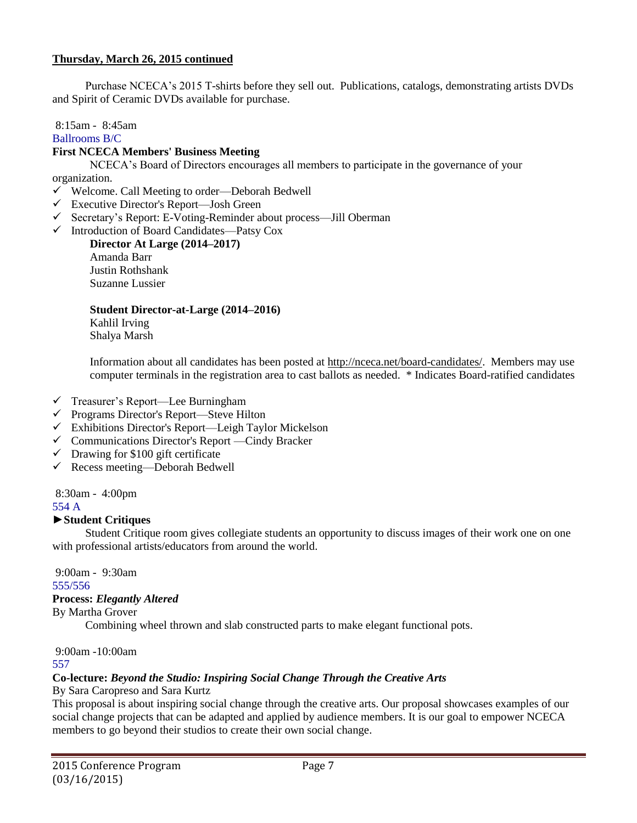Purchase NCECA's 2015 T-shirts before they sell out. Publications, catalogs, demonstrating artists DVDs and Spirit of Ceramic DVDs available for purchase.

8:15am - 8:45am

Ballrooms B/C

# **First NCECA Members' Business Meeting**

NCECA's Board of Directors encourages all members to participate in the governance of your organization.

- Welcome. Call Meeting to order—Deborah Bedwell
- Executive Director's Report—Josh Green
- Secretary's Report: E-Voting-Reminder about process—Jill Oberman
- Introduction of Board Candidates—Patsy Cox

**Director At Large (2014–2017)** Amanda Barr Justin Rothshank Suzanne Lussier

# **Student Director-at-Large (2014–2016)**

Kahlil Irving Shalya Marsh

Information about all candidates has been posted at [http://nceca.net/board-candidates/.](http://nceca.net/board-candidates/) Members may use computer terminals in the registration area to cast ballots as needed. \* Indicates Board-ratified candidates

- $\checkmark$  Treasurer's Report—Lee Burningham
- $\checkmark$  Programs Director's Report—Steve Hilton
- Exhibitions Director's Report—Leigh Taylor Mickelson
- Communications Director's Report —Cindy Bracker
- $\checkmark$  Drawing for \$100 gift certificate
- Recess meeting—Deborah Bedwell

8:30am - 4:00pm

## 554 A

# **►Student Critiques**

Student Critique room gives collegiate students an opportunity to discuss images of their work one on one with professional artists/educators from around the world.

9:00am - 9:30am 555/556

### **Process:** *Elegantly Altered*

By Martha Grover

Combining wheel thrown and slab constructed parts to make elegant functional pots.

9:00am -10:00am 557

# **Co-lecture:** *Beyond the Studio: Inspiring Social Change Through the Creative Arts*

# By Sara Caropreso and Sara Kurtz

This proposal is about inspiring social change through the creative arts. Our proposal showcases examples of our social change projects that can be adapted and applied by audience members. It is our goal to empower NCECA members to go beyond their studios to create their own social change.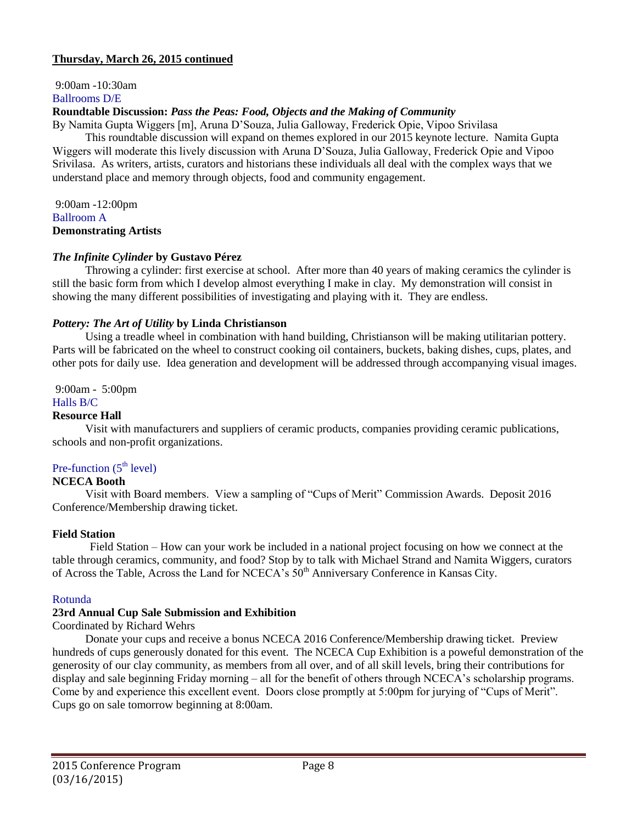9:00am -10:30am Ballrooms D/E

## **Roundtable Discussion:** *Pass the Peas: Food, Objects and the Making of Community*

By Namita Gupta Wiggers [m], Aruna D'Souza, Julia Galloway, Frederick Opie, Vipoo Srivilasa

This roundtable discussion will expand on themes explored in our 2015 keynote lecture. Namita Gupta Wiggers will moderate this lively discussion with Aruna D'Souza, Julia Galloway, Frederick Opie and Vipoo Srivilasa. As writers, artists, curators and historians these individuals all deal with the complex ways that we understand place and memory through objects, food and community engagement.

9:00am -12:00pm Ballroom A **Demonstrating Artists**

### *The Infinite Cylinder* **by Gustavo Pérez**

Throwing a cylinder: first exercise at school. After more than 40 years of making ceramics the cylinder is still the basic form from which I develop almost everything I make in clay. My demonstration will consist in showing the many different possibilities of investigating and playing with it. They are endless.

## *Pottery: The Art of Utility* **by Linda Christianson**

Using a treadle wheel in combination with hand building, Christianson will be making utilitarian pottery. Parts will be fabricated on the wheel to construct cooking oil containers, buckets, baking dishes, cups, plates, and other pots for daily use. Idea generation and development will be addressed through accompanying visual images.

9:00am - 5:00pm

## Halls B/C

### **Resource Hall**

Visit with manufacturers and suppliers of ceramic products, companies providing ceramic publications, schools and non-profit organizations.

# Pre-function  $(5<sup>th</sup> level)$

### **NCECA Booth**

Visit with Board members. View a sampling of "Cups of Merit" Commission Awards. Deposit 2016 Conference/Membership drawing ticket.

### **Field Station**

Field Station – How can your work be included in a national project focusing on how we connect at the table through ceramics, community, and food? Stop by to talk with Michael Strand and Namita Wiggers, curators of Across the Table, Across the Land for NCECA's  $50<sup>th</sup>$  Anniversary Conference in Kansas City.

### Rotunda

### **23rd Annual Cup Sale Submission and Exhibition**

Coordinated by Richard Wehrs

Donate your cups and receive a bonus NCECA 2016 Conference/Membership drawing ticket. Preview hundreds of cups generously donated for this event. The NCECA Cup Exhibition is a poweful demonstration of the generosity of our clay community, as members from all over, and of all skill levels, bring their contributions for display and sale beginning Friday morning – all for the benefit of others through NCECA's scholarship programs. Come by and experience this excellent event. Doors close promptly at 5:00pm for jurying of "Cups of Merit". Cups go on sale tomorrow beginning at 8:00am.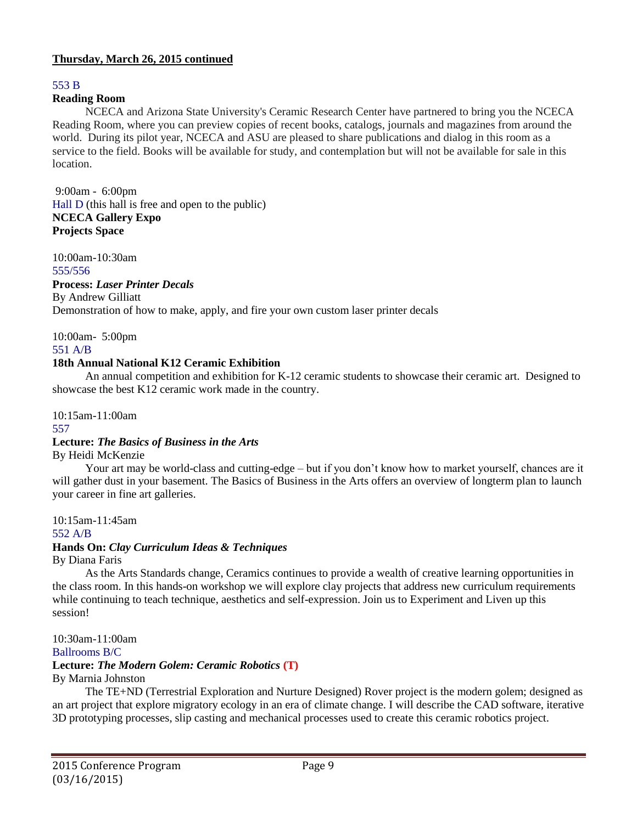# 553 B

# **Reading Room**

NCECA and Arizona State University's Ceramic Research Center have partnered to bring you the NCECA Reading Room, where you can preview copies of recent books, catalogs, journals and magazines from around the world. During its pilot year, NCECA and ASU are pleased to share publications and dialog in this room as a service to the field. Books will be available for study, and contemplation but will not be available for sale in this location.

9:00am - 6:00pm Hall D (this hall is free and open to the public) **NCECA Gallery Expo Projects Space**

10:00am-10:30am

555/556

### **Process:** *Laser Printer Decals*

By Andrew Gilliatt

Demonstration of how to make, apply, and fire your own custom laser printer decals

10:00am- 5:00pm

## 551 A/B

# **18th Annual National K12 Ceramic Exhibition**

An annual competition and exhibition for K-12 ceramic students to showcase their ceramic art. Designed to showcase the best K12 ceramic work made in the country.

10:15am-11:00am

### 557

# **Lecture:** *The Basics of Business in the Arts*

By Heidi McKenzie

Your art may be world-class and cutting-edge – but if you don't know how to market yourself, chances are it will gather dust in your basement. The Basics of Business in the Arts offers an overview of longterm plan to launch your career in fine art galleries.

10:15am-11:45am 552 A/B **Hands On:** *Clay Curriculum Ideas & Techniques* By Diana Faris

As the Arts Standards change, Ceramics continues to provide a wealth of creative learning opportunities in the class room. In this hands-on workshop we will explore clay projects that address new curriculum requirements while continuing to teach technique, aesthetics and self-expression. Join us to Experiment and Liven up this session!

10:30am-11:00am Ballrooms B/C **Lecture:** *The Modern Golem: Ceramic Robotics* **(T)** By Marnia Johnston

The TE+ND (Terrestrial Exploration and Nurture Designed) Rover project is the modern golem; designed as an art project that explore migratory ecology in an era of climate change. I will describe the CAD software, iterative 3D prototyping processes, slip casting and mechanical processes used to create this ceramic robotics project.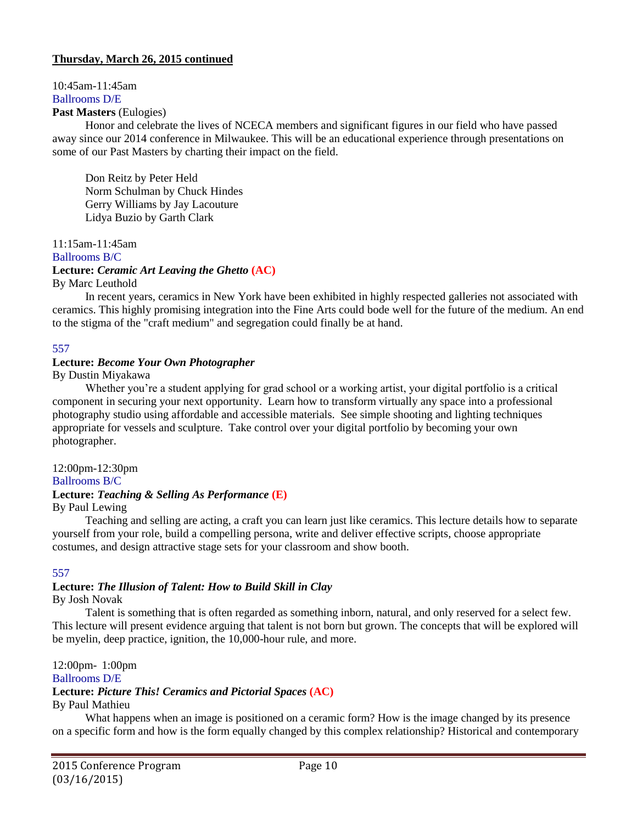### 10:45am-11:45am Ballrooms D/E

## **Past Masters** (Eulogies)

Honor and celebrate the lives of NCECA members and significant figures in our field who have passed away since our 2014 conference in Milwaukee. This will be an educational experience through presentations on some of our Past Masters by charting their impact on the field.

Don Reitz by Peter Held Norm Schulman by Chuck Hindes Gerry Williams by Jay Lacouture Lidya Buzio by Garth Clark

11:15am-11:45am

Ballrooms B/C

# **Lecture:** *Ceramic Art Leaving the Ghetto* **(AC)**

By Marc Leuthold

In recent years, ceramics in New York have been exhibited in highly respected galleries not associated with ceramics. This highly promising integration into the Fine Arts could bode well for the future of the medium. An end to the stigma of the "craft medium" and segregation could finally be at hand.

## 557

## **Lecture:** *Become Your Own Photographer*

By Dustin Miyakawa

Whether you're a student applying for grad school or a working artist, your digital portfolio is a critical component in securing your next opportunity. Learn how to transform virtually any space into a professional photography studio using affordable and accessible materials. See simple shooting and lighting techniques appropriate for vessels and sculpture. Take control over your digital portfolio by becoming your own photographer.

12:00pm-12:30pm Ballrooms B/C **Lecture:** *Teaching & Selling As Performance* **(E)**

# By Paul Lewing

Teaching and selling are acting, a craft you can learn just like ceramics. This lecture details how to separate yourself from your role, build a compelling persona, write and deliver effective scripts, choose appropriate costumes, and design attractive stage sets for your classroom and show booth.

### 557

# **Lecture:** *The Illusion of Talent: How to Build Skill in Clay*

By Josh Novak

Talent is something that is often regarded as something inborn, natural, and only reserved for a select few. This lecture will present evidence arguing that talent is not born but grown. The concepts that will be explored will be myelin, deep practice, ignition, the 10,000-hour rule, and more.

12:00pm- 1:00pm Ballrooms D/E

# **Lecture:** *Picture This! Ceramics and Pictorial Spaces* **(AC)**

# By Paul Mathieu

What happens when an image is positioned on a ceramic form? How is the image changed by its presence on a specific form and how is the form equally changed by this complex relationship? Historical and contemporary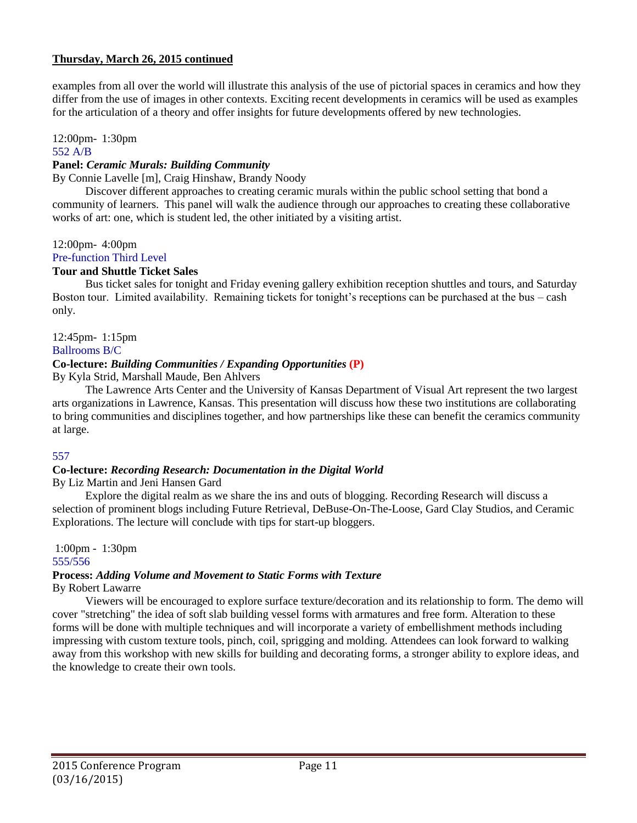examples from all over the world will illustrate this analysis of the use of pictorial spaces in ceramics and how they differ from the use of images in other contexts. Exciting recent developments in ceramics will be used as examples for the articulation of a theory and offer insights for future developments offered by new technologies.

# 12:00pm- 1:30pm

### 552 A/B

# **Panel:** *Ceramic Murals: Building Community*

By Connie Lavelle [m], Craig Hinshaw, Brandy Noody

Discover different approaches to creating ceramic murals within the public school setting that bond a community of learners. This panel will walk the audience through our approaches to creating these collaborative works of art: one, which is student led, the other initiated by a visiting artist.

## 12:00pm- 4:00pm

# Pre-function Third Level

# **Tour and Shuttle Ticket Sales**

Bus ticket sales for tonight and Friday evening gallery exhibition reception shuttles and tours, and Saturday Boston tour. Limited availability. Remaining tickets for tonight's receptions can be purchased at the bus – cash only.

12:45pm- 1:15pm

# Ballrooms B/C

## **Co-lecture:** *Building Communities / Expanding Opportunities* **(P)**

By Kyla Strid, Marshall Maude, Ben Ahlvers

The Lawrence Arts Center and the University of Kansas Department of Visual Art represent the two largest arts organizations in Lawrence, Kansas. This presentation will discuss how these two institutions are collaborating to bring communities and disciplines together, and how partnerships like these can benefit the ceramics community at large.

# 557

# **Co-lecture:** *Recording Research: Documentation in the Digital World*

By Liz Martin and Jeni Hansen Gard

Explore the digital realm as we share the ins and outs of blogging. Recording Research will discuss a selection of prominent blogs including Future Retrieval, DeBuse-On-The-Loose, Gard Clay Studios, and Ceramic Explorations. The lecture will conclude with tips for start-up bloggers.

#### 1:00pm - 1:30pm 555/556

# **Process:** *Adding Volume and Movement to Static Forms with Texture*

By Robert Lawarre

Viewers will be encouraged to explore surface texture/decoration and its relationship to form. The demo will cover "stretching" the idea of soft slab building vessel forms with armatures and free form. Alteration to these forms will be done with multiple techniques and will incorporate a variety of embellishment methods including impressing with custom texture tools, pinch, coil, sprigging and molding. Attendees can look forward to walking away from this workshop with new skills for building and decorating forms, a stronger ability to explore ideas, and the knowledge to create their own tools.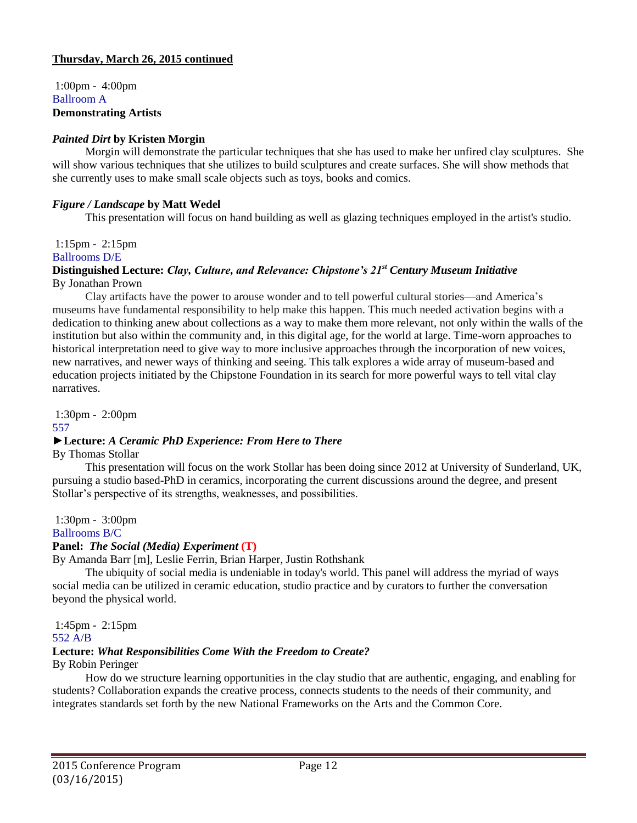1:00pm - 4:00pm Ballroom A **Demonstrating Artists**

## *Painted Dirt* **by Kristen Morgin**

Morgin will demonstrate the particular techniques that she has used to make her unfired clay sculptures. She will show various techniques that she utilizes to build sculptures and create surfaces. She will show methods that she currently uses to make small scale objects such as toys, books and comics.

# *Figure / Landscape* **by Matt Wedel**

This presentation will focus on hand building as well as glazing techniques employed in the artist's studio.

### 1:15pm - 2:15pm

Ballrooms D/E

#### **Distinguished Lecture:** *Clay, Culture, and Relevance: Chipstone's 21st Century Museum Initiative* By Jonathan Prown

Clay artifacts have the power to arouse wonder and to tell powerful cultural stories—and America's museums have fundamental responsibility to help make this happen. This much needed activation begins with a dedication to thinking anew about collections as a way to make them more relevant, not only within the walls of the institution but also within the community and, in this digital age, for the world at large. Time-worn approaches to historical interpretation need to give way to more inclusive approaches through the incorporation of new voices, new narratives, and newer ways of thinking and seeing. This talk explores a wide array of museum-based and education projects initiated by the Chipstone Foundation in its search for more powerful ways to tell vital clay narratives.

1:30pm - 2:00pm

557

# ►**Lecture:** *A Ceramic PhD Experience: From Here to There*

By Thomas Stollar

This presentation will focus on the work Stollar has been doing since 2012 at University of Sunderland, UK, pursuing a studio based-PhD in ceramics, incorporating the current discussions around the degree, and present Stollar's perspective of its strengths, weaknesses, and possibilities.

1:30pm - 3:00pm

Ballrooms B/C

# **Panel:** *The Social (Media) Experiment* **(T)**

By Amanda Barr [m], Leslie Ferrin, Brian Harper, Justin Rothshank

The ubiquity of social media is undeniable in today's world. This panel will address the myriad of ways social media can be utilized in ceramic education, studio practice and by curators to further the conversation beyond the physical world.

1:45pm - 2:15pm 552 A/B

# **Lecture:** *What Responsibilities Come With the Freedom to Create?*

# By Robin Peringer

How do we structure learning opportunities in the clay studio that are authentic, engaging, and enabling for students? Collaboration expands the creative process, connects students to the needs of their community, and integrates standards set forth by the new National Frameworks on the Arts and the Common Core.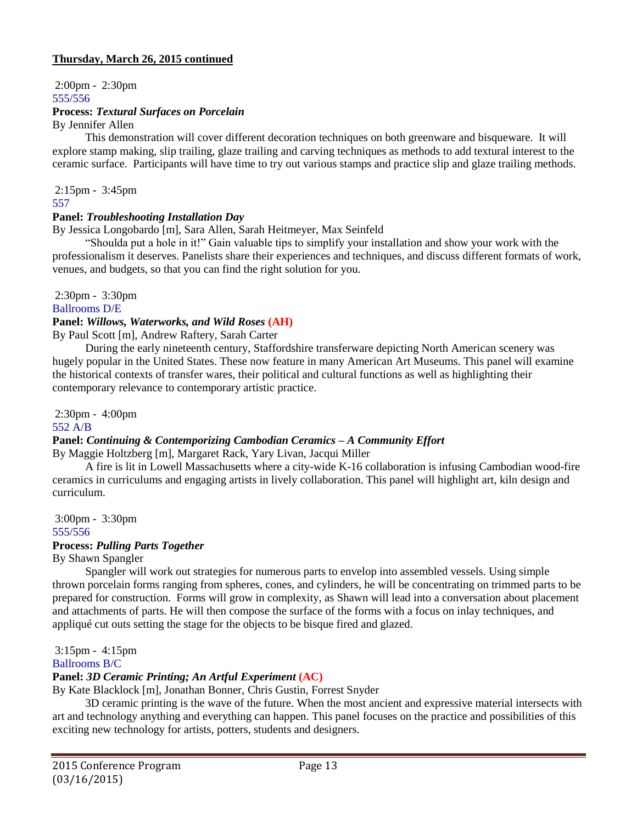2:00pm - 2:30pm 555/556 **Process:** *Textural Surfaces on Porcelain*

By Jennifer Allen

This demonstration will cover different decoration techniques on both greenware and bisqueware. It will explore stamp making, slip trailing, glaze trailing and carving techniques as methods to add textural interest to the ceramic surface. Participants will have time to try out various stamps and practice slip and glaze trailing methods.

2:15pm - 3:45pm 557

### **Panel:** *Troubleshooting Installation Day*

By Jessica Longobardo [m], Sara Allen, Sarah Heitmeyer, Max Seinfeld

"Shoulda put a hole in it!" Gain valuable tips to simplify your installation and show your work with the professionalism it deserves. Panelists share their experiences and techniques, and discuss different formats of work, venues, and budgets, so that you can find the right solution for you.

2:30pm - 3:30pm

Ballrooms D/E

#### **Panel:** *Willows, Waterworks, and Wild Roses* **(AH)**

By Paul Scott [m], Andrew Raftery, Sarah Carter

During the early nineteenth century, Staffordshire transferware depicting North American scenery was hugely popular in the United States. These now feature in many American Art Museums. This panel will examine the historical contexts of transfer wares, their political and cultural functions as well as highlighting their contemporary relevance to contemporary artistic practice.

2:30pm - 4:00pm

552 A/B

#### **Panel:** *Continuing & Contemporizing Cambodian Ceramics – A Community Effort* By Maggie Holtzberg [m], Margaret Rack, Yary Livan, Jacqui Miller

A fire is lit in Lowell Massachusetts where a city-wide K-16 collaboration is infusing Cambodian wood-fire ceramics in curriculums and engaging artists in lively collaboration. This panel will highlight art, kiln design and curriculum.

3:00pm - 3:30pm 555/556

# **Process:** *Pulling Parts Together*

By Shawn Spangler

Spangler will work out strategies for numerous parts to envelop into assembled vessels. Using simple thrown porcelain forms ranging from spheres, cones, and cylinders, he will be concentrating on trimmed parts to be prepared for construction. Forms will grow in complexity, as Shawn will lead into a conversation about placement and attachments of parts. He will then compose the surface of the forms with a focus on inlay techniques, and appliqué cut outs setting the stage for the objects to be bisque fired and glazed.

3:15pm - 4:15pm

Ballrooms B/C

### **Panel:** *3D Ceramic Printing; An Artful Experiment* **(AC)**

By Kate Blacklock [m], Jonathan Bonner, Chris Gustin, Forrest Snyder

3D ceramic printing is the wave of the future. When the most ancient and expressive material intersects with art and technology anything and everything can happen. This panel focuses on the practice and possibilities of this exciting new technology for artists, potters, students and designers.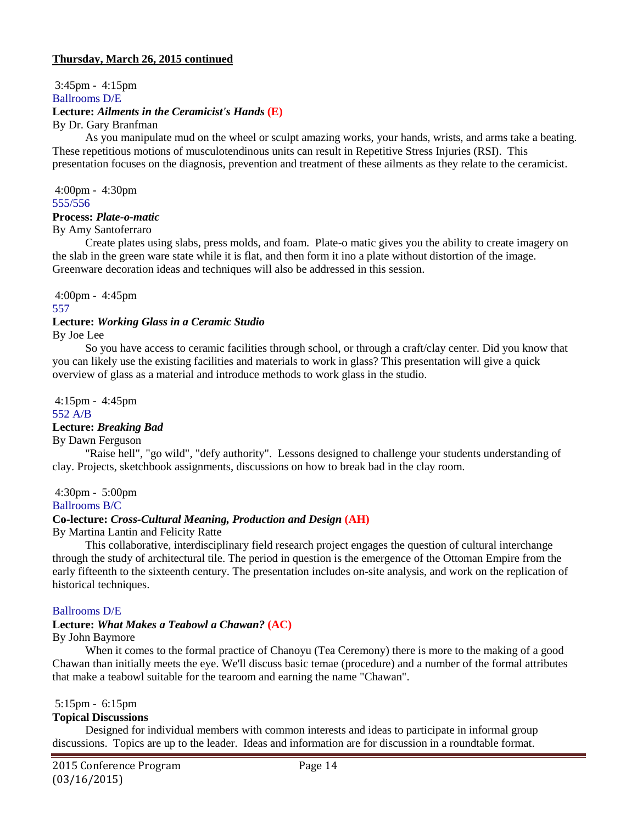# 3:45pm - 4:15pm Ballrooms D/E **Lecture:** *Ailments in the Ceramicist's Hands* **(E)** By Dr. Gary Branfman

As you manipulate mud on the wheel or sculpt amazing works, your hands, wrists, and arms take a beating. These repetitious motions of musculotendinous units can result in Repetitive Stress Injuries (RSI). This presentation focuses on the diagnosis, prevention and treatment of these ailments as they relate to the ceramicist.

4:00pm - 4:30pm 555/556

## **Process:** *Plate-o-matic*

By Amy Santoferraro

Create plates using slabs, press molds, and foam. Plate-o matic gives you the ability to create imagery on the slab in the green ware state while it is flat, and then form it ino a plate without distortion of the image. Greenware decoration ideas and techniques will also be addressed in this session.

4:00pm - 4:45pm

### 557

# **Lecture:** *Working Glass in a Ceramic Studio*

By Joe Lee

So you have access to ceramic facilities through school, or through a craft/clay center. Did you know that you can likely use the existing facilities and materials to work in glass? This presentation will give a quick overview of glass as a material and introduce methods to work glass in the studio.

4:15pm - 4:45pm 552 A/B

# **Lecture:** *Breaking Bad*

By Dawn Ferguson

"Raise hell", "go wild", "defy authority". Lessons designed to challenge your students understanding of clay. Projects, sketchbook assignments, discussions on how to break bad in the clay room.

4:30pm - 5:00pm

Ballrooms B/C

# **Co-lecture:** *Cross-Cultural Meaning, Production and Design* **(AH)**

By Martina Lantin and Felicity Ratte

This collaborative, interdisciplinary field research project engages the question of cultural interchange through the study of architectural tile. The period in question is the emergence of the Ottoman Empire from the early fifteenth to the sixteenth century. The presentation includes on-site analysis, and work on the replication of historical techniques.

### Ballrooms D/E

### **Lecture:** *What Makes a Teabowl a Chawan?* **(AC)**

By John Baymore

When it comes to the formal practice of Chanoyu (Tea Ceremony) there is more to the making of a good Chawan than initially meets the eye. We'll discuss basic temae (procedure) and a number of the formal attributes that make a teabowl suitable for the tearoom and earning the name "Chawan".

5:15pm - 6:15pm

### **Topical Discussions**

Designed for individual members with common interests and ideas to participate in informal group discussions. Topics are up to the leader. Ideas and information are for discussion in a roundtable format.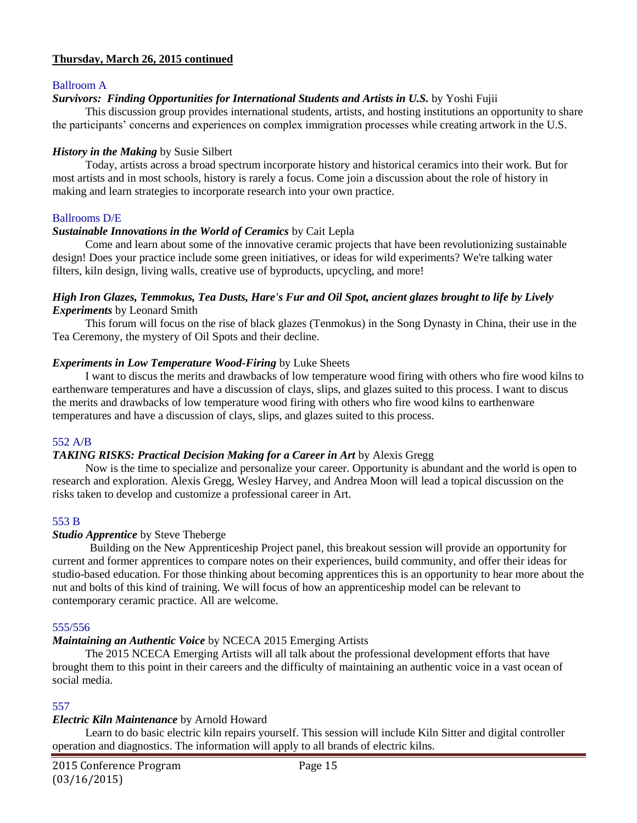## Ballroom A

## *Survivors: Finding Opportunities for International Students and Artists in U.S.* by Yoshi Fujii

This discussion group provides international students, artists, and hosting institutions an opportunity to share the participants' concerns and experiences on complex immigration processes while creating artwork in the U.S.

## *History in the Making* by Susie Silbert

Today, artists across a broad spectrum incorporate history and historical ceramics into their work. But for most artists and in most schools, history is rarely a focus. Come join a discussion about the role of history in making and learn strategies to incorporate research into your own practice.

### Ballrooms D/E

## *Sustainable Innovations in the World of Ceramics* by Cait Lepla

Come and learn about some of the innovative ceramic projects that have been revolutionizing sustainable design! Does your practice include some green initiatives, or ideas for wild experiments? We're talking water filters, kiln design, living walls, creative use of byproducts, upcycling, and more!

### *High Iron Glazes, Temmokus, Tea Dusts, Hare's Fur and Oil Spot, ancient glazes brought to life by Lively Experiments* by Leonard Smith

This forum will focus on the rise of black glazes (Tenmokus) in the Song Dynasty in China, their use in the Tea Ceremony, the mystery of Oil Spots and their decline.

## *Experiments in Low Temperature Wood-Firing* by Luke Sheets

I want to discus the merits and drawbacks of low temperature wood firing with others who fire wood kilns to earthenware temperatures and have a discussion of clays, slips, and glazes suited to this process. I want to discus the merits and drawbacks of low temperature wood firing with others who fire wood kilns to earthenware temperatures and have a discussion of clays, slips, and glazes suited to this process.

### 552 A/B

# *TAKING RISKS: Practical Decision Making for a Career in Art* by Alexis Gregg

Now is the time to specialize and personalize your career. Opportunity is abundant and the world is open to research and exploration. Alexis Gregg, Wesley Harvey, and Andrea Moon will lead a topical discussion on the risks taken to develop and customize a professional career in Art.

### 553 B

### *Studio Apprentice* by Steve Theberge

Building on the New Apprenticeship Project panel, this breakout session will provide an opportunity for current and former apprentices to compare notes on their experiences, build community, and offer their ideas for studio-based education. For those thinking about becoming apprentices this is an opportunity to hear more about the nut and bolts of this kind of training. We will focus of how an apprenticeship model can be relevant to contemporary ceramic practice. All are welcome.

### 555/556

# *Maintaining an Authentic Voice* by NCECA 2015 Emerging Artists

The 2015 NCECA Emerging Artists will all talk about the professional development efforts that have brought them to this point in their careers and the difficulty of maintaining an authentic voice in a vast ocean of social media.

# 557

# *Electric Kiln Maintenance* by Arnold Howard

Learn to do basic electric kiln repairs yourself. This session will include Kiln Sitter and digital controller operation and diagnostics. The information will apply to all brands of electric kilns.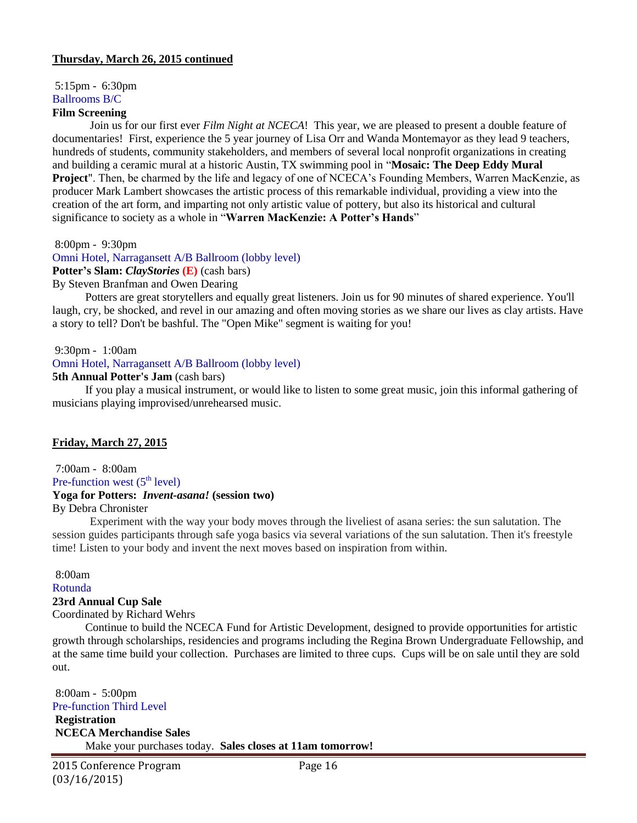5:15pm - 6:30pm Ballrooms B/C

# **Film Screening**

Join us for our first ever *Film Night at NCECA*! This year, we are pleased to present a double feature of documentaries! First, experience the 5 year journey of Lisa Orr and Wanda Montemayor as they lead 9 teachers, hundreds of students, community stakeholders, and members of several local nonprofit organizations in creating and building a ceramic mural at a historic Austin, TX swimming pool in "**Mosaic: The Deep Eddy Mural Project**". Then, be charmed by the life and legacy of one of NCECA's Founding Members, Warren MacKenzie, as producer Mark Lambert showcases the artistic process of this remarkable individual, providing a view into the creation of the art form, and imparting not only artistic value of pottery, but also its historical and cultural significance to society as a whole in "**Warren MacKenzie: A Potter's Hands**"

8:00pm - 9:30pm

Omni Hotel, Narragansett A/B Ballroom (lobby level) **Potter's Slam:** *ClayStories* **(E)** (cash bars) By Steven Branfman and Owen Dearing

Potters are great storytellers and equally great listeners. Join us for 90 minutes of shared experience. You'll laugh, cry, be shocked, and revel in our amazing and often moving stories as we share our lives as clay artists. Have a story to tell? Don't be bashful. The "Open Mike" segment is waiting for you!

### 9:30pm - 1:00am

Omni Hotel, Narragansett A/B Ballroom (lobby level)

### **5th Annual Potter's Jam** (cash bars)

If you play a musical instrument, or would like to listen to some great music, join this informal gathering of musicians playing improvised/unrehearsed music.

# **Friday, March 27, 2015**

7:00am - 8:00am Pre-function west  $(5<sup>th</sup> level)$ 

# **Yoga for Potters:** *Invent-asana!* **(session two)**

# By Debra Chronister

Experiment with the way your body moves through the liveliest of asana series: the sun salutation. The session guides participants through safe yoga basics via several variations of the sun salutation. Then it's freestyle time! Listen to your body and invent the next moves based on inspiration from within.

### 8:00am

Rotunda

# **23rd Annual Cup Sale**

### Coordinated by Richard Wehrs

Continue to build the NCECA Fund for Artistic Development, designed to provide opportunities for artistic growth through scholarships, residencies and programs including the Regina Brown Undergraduate Fellowship, and at the same time build your collection. Purchases are limited to three cups. Cups will be on sale until they are sold out.

8:00am - 5:00pm Pre-function Third Level

**Registration NCECA Merchandise Sales** Make your purchases today. **Sales closes at 11am tomorrow!**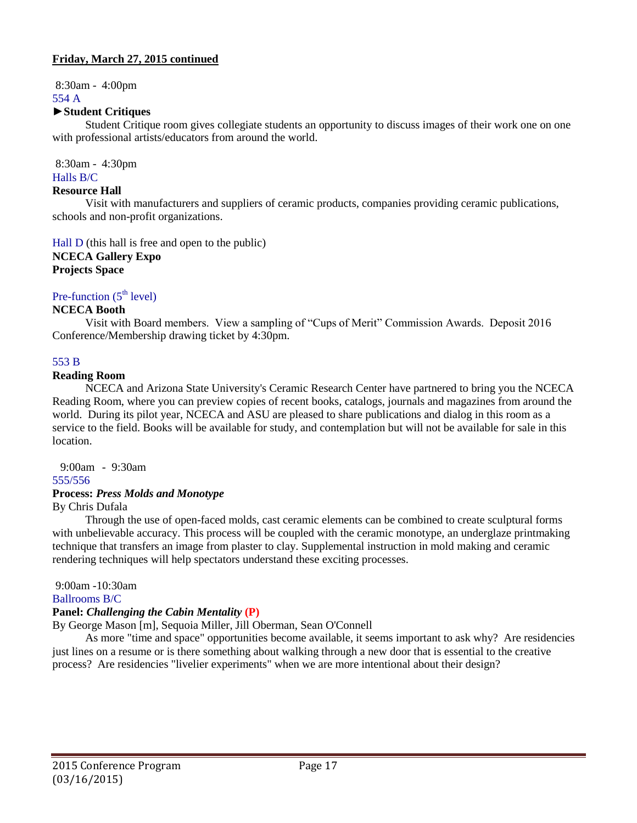8:30am - 4:00pm 554 A

## **►Student Critiques**

Student Critique room gives collegiate students an opportunity to discuss images of their work one on one with professional artists/educators from around the world.

8:30am - 4:30pm Halls B/C

#### **Resource Hall**

Visit with manufacturers and suppliers of ceramic products, companies providing ceramic publications, schools and non-profit organizations.

Hall D (this hall is free and open to the public) **NCECA Gallery Expo Projects Space**

Pre-function  $(5<sup>th</sup> level)$ 

## **NCECA Booth**

Visit with Board members. View a sampling of "Cups of Merit" Commission Awards. Deposit 2016 Conference/Membership drawing ticket by 4:30pm.

## 553 B

### **Reading Room**

NCECA and Arizona State University's Ceramic Research Center have partnered to bring you the NCECA Reading Room, where you can preview copies of recent books, catalogs, journals and magazines from around the world. During its pilot year, NCECA and ASU are pleased to share publications and dialog in this room as a service to the field. Books will be available for study, and contemplation but will not be available for sale in this location.

 $9.00$ am -  $9.30$ am

# 555/556

# **Process:** *Press Molds and Monotype*

By Chris Dufala

Through the use of open-faced molds, cast ceramic elements can be combined to create sculptural forms with unbelievable accuracy. This process will be coupled with the ceramic monotype, an underglaze printmaking technique that transfers an image from plaster to clay. Supplemental instruction in mold making and ceramic rendering techniques will help spectators understand these exciting processes.

9:00am -10:30am

## Ballrooms B/C

### **Panel:** *Challenging the Cabin Mentality* **(P)**

By George Mason [m], Sequoia Miller, Jill Oberman, Sean O'Connell

As more "time and space" opportunities become available, it seems important to ask why? Are residencies just lines on a resume or is there something about walking through a new door that is essential to the creative process? Are residencies "livelier experiments" when we are more intentional about their design?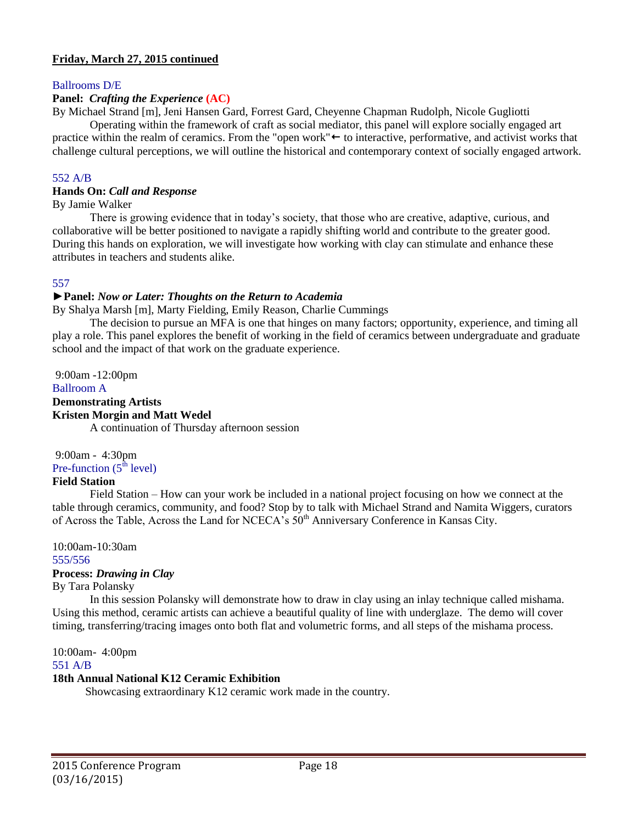## Ballrooms D/E

# **Panel:** *Crafting the Experience* **(AC)**

By Michael Strand [m], Jeni Hansen Gard, Forrest Gard, Cheyenne Chapman Rudolph, Nicole Gugliotti

Operating within the framework of craft as social mediator, this panel will explore socially engaged art practice within the realm of ceramics. From the "open work" $\leftarrow$  to interactive, performative, and activist works that challenge cultural perceptions, we will outline the historical and contemporary context of socially engaged artwork.

### 552 A/B

### **Hands On:** *Call and Response*

By Jamie Walker

There is growing evidence that in today's society, that those who are creative, adaptive, curious, and collaborative will be better positioned to navigate a rapidly shifting world and contribute to the greater good. During this hands on exploration, we will investigate how working with clay can stimulate and enhance these attributes in teachers and students alike.

### 557

### **►Panel:** *Now or Later: Thoughts on the Return to Academia*

By Shalya Marsh [m], Marty Fielding, Emily Reason, Charlie Cummings

The decision to pursue an MFA is one that hinges on many factors; opportunity, experience, and timing all play a role. This panel explores the benefit of working in the field of ceramics between undergraduate and graduate school and the impact of that work on the graduate experience.

9:00am -12:00pm Ballroom A **Demonstrating Artists Kristen Morgin and Matt Wedel** A continuation of Thursday afternoon session

9:00am - 4:30pm Pre-function  $(5<sup>th</sup> level)$ 

# **Field Station**

Field Station – How can your work be included in a national project focusing on how we connect at the table through ceramics, community, and food? Stop by to talk with Michael Strand and Namita Wiggers, curators of Across the Table, Across the Land for NCECA's  $50<sup>th</sup>$  Anniversary Conference in Kansas City.

10:00am-10:30am 555/556

### **Process:** *Drawing in Clay*

By Tara Polansky

In this session Polansky will demonstrate how to draw in clay using an inlay technique called mishama. Using this method, ceramic artists can achieve a beautiful quality of line with underglaze. The demo will cover timing, transferring/tracing images onto both flat and volumetric forms, and all steps of the mishama process.

10:00am- 4:00pm

### 551 A/B

### **18th Annual National K12 Ceramic Exhibition**

Showcasing extraordinary K12 ceramic work made in the country.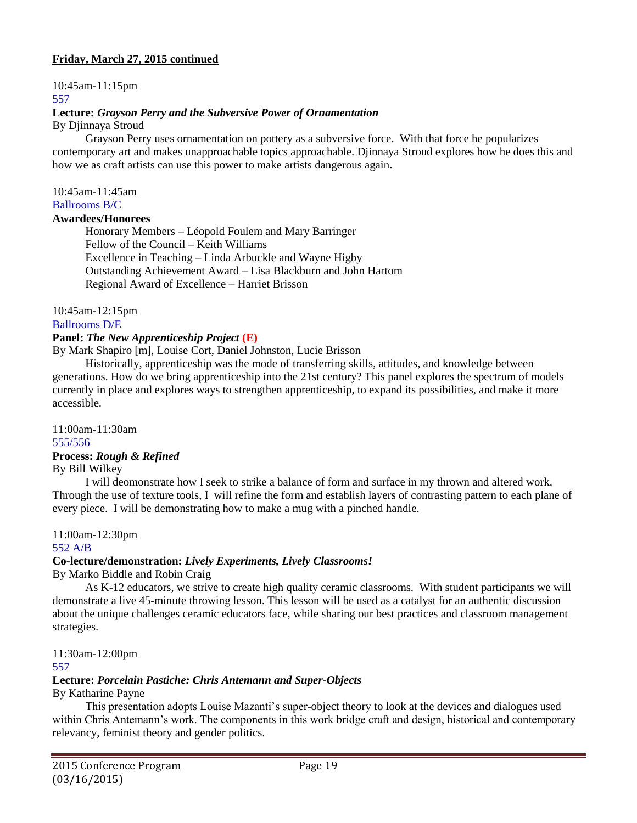10:45am-11:15pm

## 557

# **Lecture:** *Grayson Perry and the Subversive Power of Ornamentation*

By Djinnaya Stroud

Grayson Perry uses ornamentation on pottery as a subversive force. With that force he popularizes contemporary art and makes unapproachable topics approachable. Djinnaya Stroud explores how he does this and how we as craft artists can use this power to make artists dangerous again.

10:45am-11:45am

Ballrooms B/C

# **Awardees/Honorees**

Honorary Members – Léopold Foulem and Mary Barringer Fellow of the Council – Keith Williams Excellence in Teaching – Linda Arbuckle and Wayne Higby Outstanding Achievement Award – Lisa Blackburn and John Hartom Regional Award of Excellence – Harriet Brisson

10:45am-12:15pm

Ballrooms D/E

# **Panel:** *The New Apprenticeship Project* **(E)**

By Mark Shapiro [m], Louise Cort, Daniel Johnston, Lucie Brisson

Historically, apprenticeship was the mode of transferring skills, attitudes, and knowledge between generations. How do we bring apprenticeship into the 21st century? This panel explores the spectrum of models currently in place and explores ways to strengthen apprenticeship, to expand its possibilities, and make it more accessible.

11:00am-11:30am 555/556

# **Process:** *Rough & Refined*

By Bill Wilkey

I will deomonstrate how I seek to strike a balance of form and surface in my thrown and altered work. Through the use of texture tools, I will refine the form and establish layers of contrasting pattern to each plane of every piece. I will be demonstrating how to make a mug with a pinched handle.

11:00am-12:30pm

# 552 A/B

# **Co-lecture/demonstration:** *Lively Experiments, Lively Classrooms!*

By Marko Biddle and Robin Craig

As K-12 educators, we strive to create high quality ceramic classrooms. With student participants we will demonstrate a live 45-minute throwing lesson. This lesson will be used as a catalyst for an authentic discussion about the unique challenges ceramic educators face, while sharing our best practices and classroom management strategies.

11:30am-12:00pm

### 557

# **Lecture:** *Porcelain Pastiche: Chris Antemann and Super-Objects*

By Katharine Payne

This presentation adopts Louise Mazanti's super-object theory to look at the devices and dialogues used within Chris Antemann's work. The components in this work bridge craft and design, historical and contemporary relevancy, feminist theory and gender politics.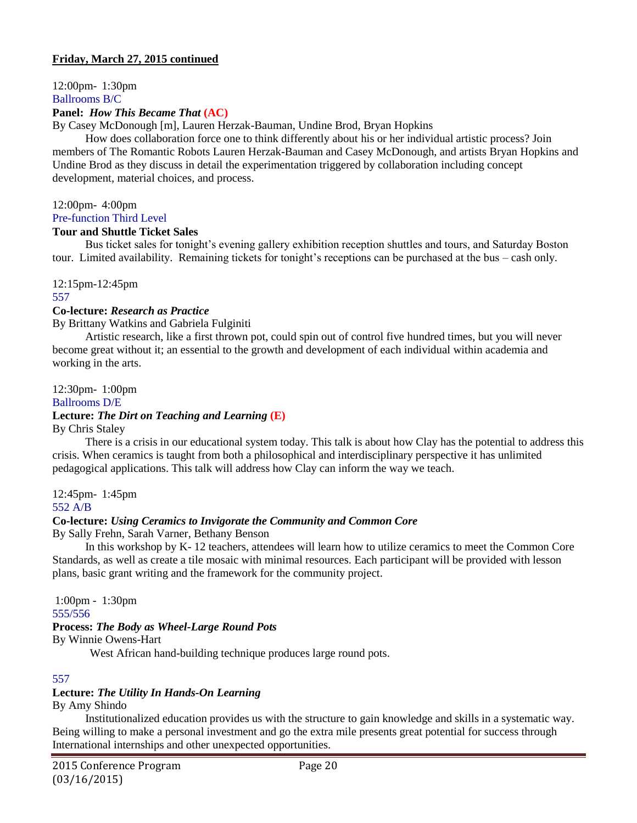12:00pm- 1:30pm Ballrooms B/C

## **Panel:** *How This Became That* **(AC)**

By Casey McDonough [m], Lauren Herzak-Bauman, Undine Brod, Bryan Hopkins

How does collaboration force one to think differently about his or her individual artistic process? Join members of The Romantic Robots Lauren Herzak-Bauman and Casey McDonough, and artists Bryan Hopkins and Undine Brod as they discuss in detail the experimentation triggered by collaboration including concept development, material choices, and process.

### 12:00pm- 4:00pm

Pre-function Third Level

### **Tour and Shuttle Ticket Sales**

Bus ticket sales for tonight's evening gallery exhibition reception shuttles and tours, and Saturday Boston tour. Limited availability. Remaining tickets for tonight's receptions can be purchased at the bus – cash only.

12:15pm-12:45pm

### 557

### **Co-lecture:** *Research as Practice*

By Brittany Watkins and Gabriela Fulginiti

Artistic research, like a first thrown pot, could spin out of control five hundred times, but you will never become great without it; an essential to the growth and development of each individual within academia and working in the arts.

12:30pm- 1:00pm

## Ballrooms D/E

# **Lecture:** *The Dirt on Teaching and Learning* **(E)**

By Chris Staley

There is a crisis in our educational system today. This talk is about how Clay has the potential to address this crisis. When ceramics is taught from both a philosophical and interdisciplinary perspective it has unlimited pedagogical applications. This talk will address how Clay can inform the way we teach.

12:45pm- 1:45pm 552 A/B

# **Co-lecture:** *Using Ceramics to Invigorate the Community and Common Core*

By Sally Frehn, Sarah Varner, Bethany Benson

In this workshop by K- 12 teachers, attendees will learn how to utilize ceramics to meet the Common Core Standards, as well as create a tile mosaic with minimal resources. Each participant will be provided with lesson plans, basic grant writing and the framework for the community project.

1:00pm - 1:30pm 555/556

# **Process:** *The Body as Wheel-Large Round Pots*

By Winnie Owens-Hart

West African hand-building technique produces large round pots.

### 557

# **Lecture:** *The Utility In Hands-On Learning*

By Amy Shindo

Institutionalized education provides us with the structure to gain knowledge and skills in a systematic way. Being willing to make a personal investment and go the extra mile presents great potential for success through International internships and other unexpected opportunities.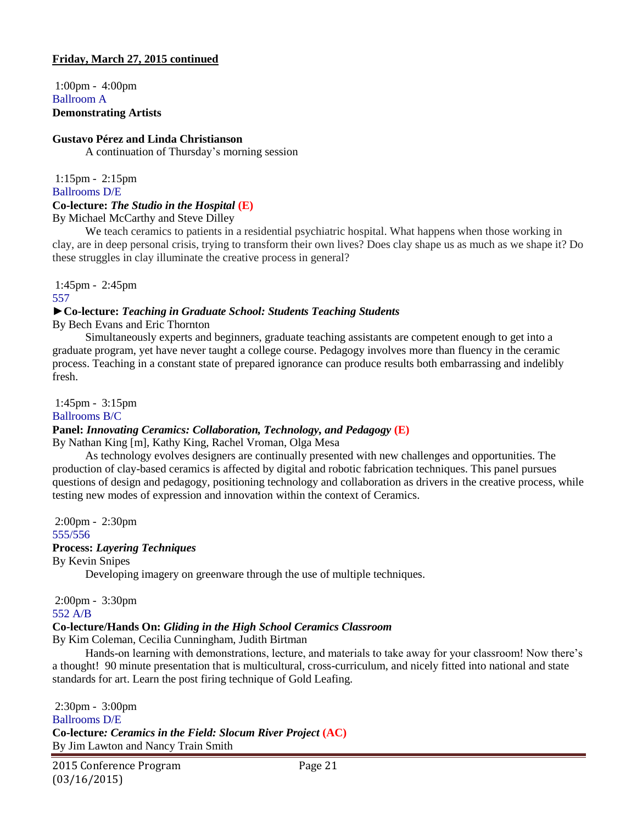1:00pm - 4:00pm Ballroom A **Demonstrating Artists**

# **Gustavo Pérez and Linda Christianson**

A continuation of Thursday's morning session

1:15pm - 2:15pm Ballrooms D/E

# **Co-lecture:** *The Studio in the Hospital* **(E)**

By Michael McCarthy and Steve Dilley

We teach ceramics to patients in a residential psychiatric hospital. What happens when those working in clay, are in deep personal crisis, trying to transform their own lives? Does clay shape us as much as we shape it? Do these struggles in clay illuminate the creative process in general?

1:45pm - 2:45pm

557

## **►Co-lecture:** *Teaching in Graduate School: Students Teaching Students*

By Bech Evans and Eric Thornton

Simultaneously experts and beginners, graduate teaching assistants are competent enough to get into a graduate program, yet have never taught a college course. Pedagogy involves more than fluency in the ceramic process. Teaching in a constant state of prepared ignorance can produce results both embarrassing and indelibly fresh.

1:45pm - 3:15pm Ballrooms B/C

# **Panel:** *Innovating Ceramics: Collaboration, Technology, and Pedagogy* **(E)**

By Nathan King [m], Kathy King, Rachel Vroman, Olga Mesa

As technology evolves designers are continually presented with new challenges and opportunities. The production of clay-based ceramics is affected by digital and robotic fabrication techniques. This panel pursues questions of design and pedagogy, positioning technology and collaboration as drivers in the creative process, while testing new modes of expression and innovation within the context of Ceramics.

2:00pm - 2:30pm 555/556

# **Process:** *Layering Techniques*

By Kevin Snipes

Developing imagery on greenware through the use of multiple techniques.

2:00pm - 3:30pm 552 A/B

# **Co-lecture/Hands On:** *Gliding in the High School Ceramics Classroom*

By Kim Coleman, Cecilia Cunningham, Judith Birtman

Hands-on learning with demonstrations, lecture, and materials to take away for your classroom! Now there's a thought! 90 minute presentation that is multicultural, cross-curriculum, and nicely fitted into national and state standards for art. Learn the post firing technique of Gold Leafing.

2:30pm - 3:00pm Ballrooms D/E **Co-lecture***: Ceramics in the Field: Slocum River Project* **(AC)** By Jim Lawton and Nancy Train Smith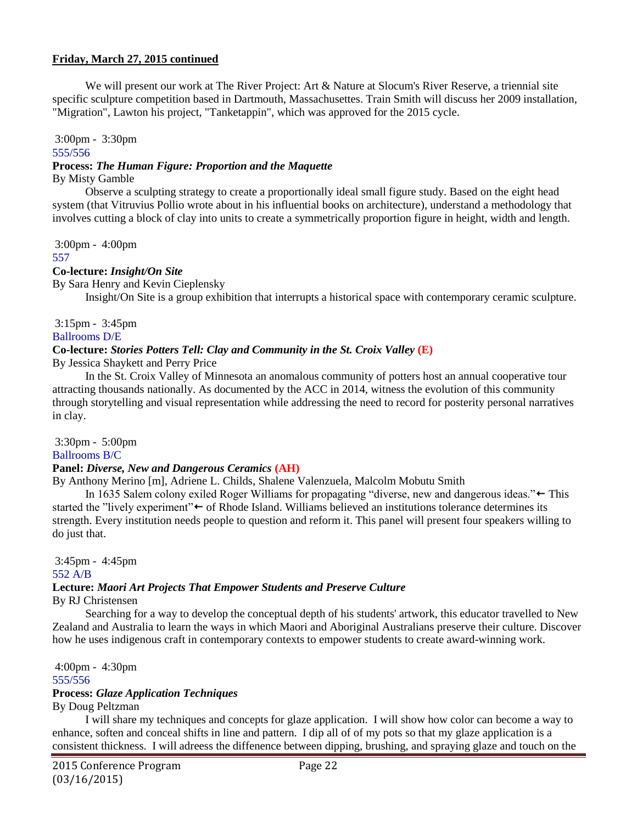We will present our work at The River Project: Art & Nature at Slocum's River Reserve, a triennial site specific sculpture competition based in Dartmouth, Massachusettes. Train Smith will discuss her 2009 installation, "Migration", Lawton his project, "Tanketappin", which was approved for the 2015 cycle.

3:00pm - 3:30pm 555/556

# **Process:** *The Human Figure: Proportion and the Maquette*

### By Misty Gamble

Observe a sculpting strategy to create a proportionally ideal small figure study. Based on the eight head system (that Vitruvius Pollio wrote about in his influential books on architecture), understand a methodology that involves cutting a block of clay into units to create a symmetrically proportion figure in height, width and length.

3:00pm - 4:00pm

#### 557

# **Co-lecture:** *Insight/On Site*

By Sara Henry and Kevin Cieplensky

Insight/On Site is a group exhibition that interrupts a historical space with contemporary ceramic sculpture.

3:15pm - 3:45pm Ballrooms D/E

# **Co-lecture:** *Stories Potters Tell: Clay and Community in the St. Croix Valley* **(E)**

By Jessica Shaykett and Perry Price

In the St. Croix Valley of Minnesota an anomalous community of potters host an annual cooperative tour attracting thousands nationally. As documented by the ACC in 2014, witness the evolution of this community through storytelling and visual representation while addressing the need to record for posterity personal narratives in clay.

3:30pm - 5:00pm

# Ballrooms B/C

# **Panel:** *Diverse, New and Dangerous Ceramics* **(AH)**

By Anthony Merino [m], Adriene L. Childs, Shalene Valenzuela, Malcolm Mobutu Smith

In 1635 Salem colony exiled Roger Williams for propagating "diverse, new and dangerous ideas." $\leftarrow$  This started the "lively experiment" $\leftarrow$  of Rhode Island. Williams believed an institutions tolerance determines its strength. Every institution needs people to question and reform it. This panel will present four speakers willing to do just that.

3:45pm - 4:45pm 552 A/B

# **Lecture:** *Maori Art Projects That Empower Students and Preserve Culture*

By RJ Christensen

Searching for a way to develop the conceptual depth of his students' artwork, this educator travelled to New Zealand and Australia to learn the ways in which Maori and Aboriginal Australians preserve their culture. Discover how he uses indigenous craft in contemporary contexts to empower students to create award-winning work.

4:00pm - 4:30pm 555/556

# **Process:** *Glaze Application Techniques*

By Doug Peltzman

I will share my techniques and concepts for glaze application. I will show how color can become a way to enhance, soften and conceal shifts in line and pattern. I dip all of of my pots so that my glaze application is a consistent thickness. I will adreess the diffenence between dipping, brushing, and spraying glaze and touch on the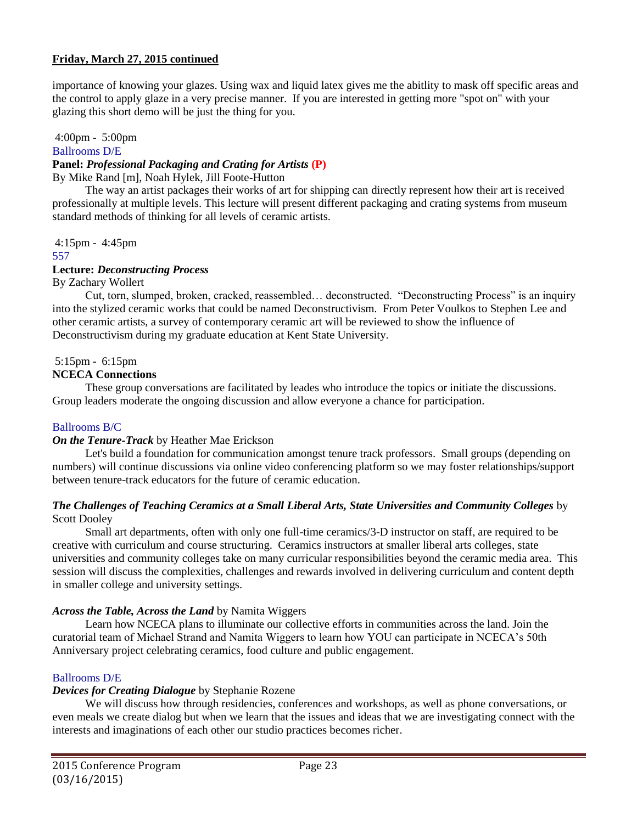importance of knowing your glazes. Using wax and liquid latex gives me the abitlity to mask off specific areas and the control to apply glaze in a very precise manner. If you are interested in getting more "spot on" with your glazing this short demo will be just the thing for you.

# 4:00pm - 5:00pm

# Ballrooms D/E

## **Panel:** *Professional Packaging and Crating for Artists* **(P)**

By Mike Rand [m], Noah Hylek, Jill Foote-Hutton

The way an artist packages their works of art for shipping can directly represent how their art is received professionally at multiple levels. This lecture will present different packaging and crating systems from museum standard methods of thinking for all levels of ceramic artists.

4:15pm - 4:45pm

### 557

# **Lecture:** *Deconstructing Process*

By Zachary Wollert

Cut, torn, slumped, broken, cracked, reassembled… deconstructed. "Deconstructing Process" is an inquiry into the stylized ceramic works that could be named Deconstructivism. From Peter Voulkos to Stephen Lee and other ceramic artists, a survey of contemporary ceramic art will be reviewed to show the influence of Deconstructivism during my graduate education at Kent State University.

# 5:15pm - 6:15pm

# **NCECA Connections**

These group conversations are facilitated by leades who introduce the topics or initiate the discussions. Group leaders moderate the ongoing discussion and allow everyone a chance for participation.

# Ballrooms B/C

# *On the Tenure-Track* by Heather Mae Erickson

Let's build a foundation for communication amongst tenure track professors. Small groups (depending on numbers) will continue discussions via online video conferencing platform so we may foster relationships/support between tenure-track educators for the future of ceramic education.

## *The Challenges of Teaching Ceramics at a Small Liberal Arts, State Universities and Community Colleges* by Scott Dooley

Small art departments, often with only one full-time ceramics/3-D instructor on staff, are required to be creative with curriculum and course structuring. Ceramics instructors at smaller liberal arts colleges, state universities and community colleges take on many curricular responsibilities beyond the ceramic media area. This session will discuss the complexities, challenges and rewards involved in delivering curriculum and content depth in smaller college and university settings.

# *Across the Table, Across the Land* by Namita Wiggers

Learn how NCECA plans to illuminate our collective efforts in communities across the land. Join the curatorial team of Michael Strand and Namita Wiggers to learn how YOU can participate in NCECA's 50th Anniversary project celebrating ceramics, food culture and public engagement.

# Ballrooms D/E

# *Devices for Creating Dialogue* by Stephanie Rozene

We will discuss how through residencies, conferences and workshops, as well as phone conversations, or even meals we create dialog but when we learn that the issues and ideas that we are investigating connect with the interests and imaginations of each other our studio practices becomes richer.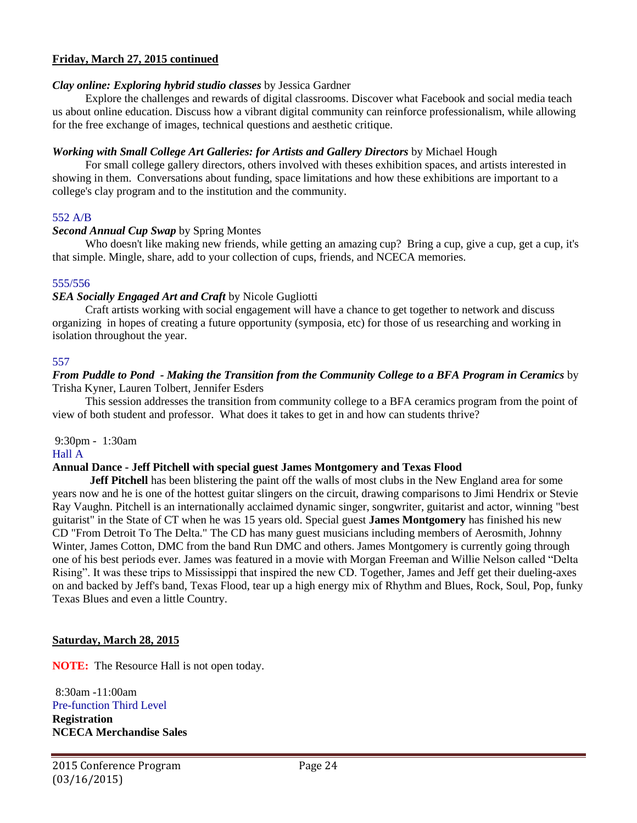### *Clay online: Exploring hybrid studio classes* by Jessica Gardner

Explore the challenges and rewards of digital classrooms. Discover what Facebook and social media teach us about online education. Discuss how a vibrant digital community can reinforce professionalism, while allowing for the free exchange of images, technical questions and aesthetic critique.

## *Working with Small College Art Galleries: for Artists and Gallery Directors* by Michael Hough

For small college gallery directors, others involved with theses exhibition spaces, and artists interested in showing in them. Conversations about funding, space limitations and how these exhibitions are important to a college's clay program and to the institution and the community.

## 552 A/B

## *Second Annual Cup Swap* by Spring Montes

Who doesn't like making new friends, while getting an amazing cup? Bring a cup, give a cup, get a cup, it's that simple. Mingle, share, add to your collection of cups, friends, and NCECA memories.

## 555/556

## *SEA Socially Engaged Art and Craft* by Nicole Gugliotti

Craft artists working with social engagement will have a chance to get together to network and discuss organizing in hopes of creating a future opportunity (symposia, etc) for those of us researching and working in isolation throughout the year.

## 557

### *From Puddle to Pond - Making the Transition from the Community College to a BFA Program in Ceramics* by Trisha Kyner, Lauren Tolbert, Jennifer Esders

This session addresses the transition from community college to a BFA ceramics program from the point of view of both student and professor. What does it takes to get in and how can students thrive?

9:30pm - 1:30am

### Hall A

# **Annual Dance - Jeff Pitchell with special guest James Montgomery and Texas Flood**

**[Jeff Pitchell](http://www.jeffpitchell.com/)** has been blistering the paint off the walls of most clubs in the New England area for some years now and he is one of the hottest guitar slingers on the circuit, drawing comparisons to Jimi Hendrix or Stevie Ray Vaughn. Pitchell is an internationally acclaimed dynamic singer, songwriter, guitarist and actor, winning "best guitarist" in the State of CT when he was 15 years old. Special guest **James Montgomery** has finished his new CD "From Detroit To The Delta." The CD has many guest musicians including members of Aerosmith, Johnny Winter, James Cotton, DMC from the band Run DMC and others. James Montgomery is currently going through one of his best periods ever. James was featured in a movie with Morgan Freeman and Willie Nelson called "Delta Rising". It was these trips to Mississippi that inspired the new CD. Together, James and Jeff get their dueling-axes on and backed by Jeff's band, Texas Flood, tear up a high energy mix of Rhythm and Blues, Rock, Soul, Pop, funky Texas Blues and even a little Country.

# **Saturday, March 28, 2015**

**NOTE:** The Resource Hall is not open today.

8:30am -11:00am Pre-function Third Level **Registration NCECA Merchandise Sales**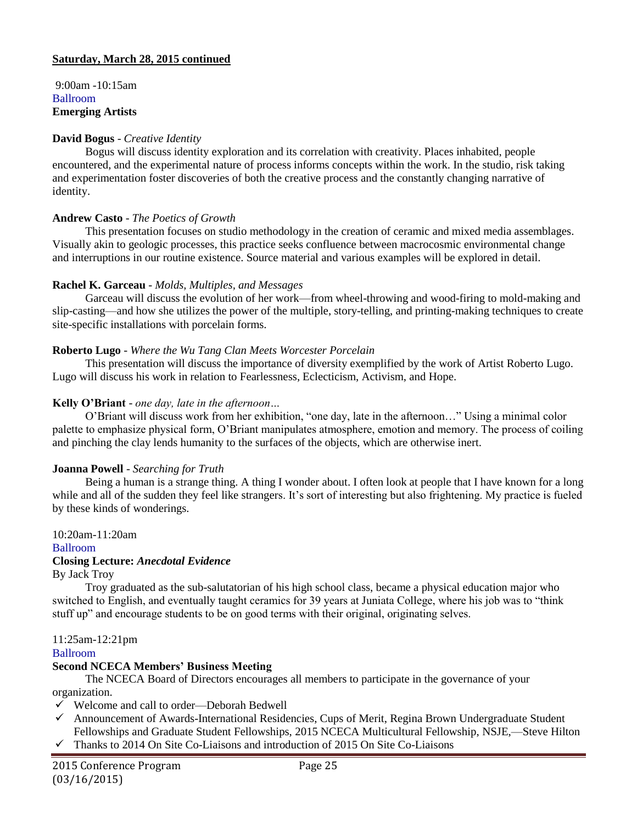## **Saturday, March 28, 2015 continued**

9:00am -10:15am Ballroom **Emerging Artists**

### **David Bogus** - *Creative Identity*

Bogus will discuss identity exploration and its correlation with creativity. Places inhabited, people encountered, and the experimental nature of process informs concepts within the work. In the studio, risk taking and experimentation foster discoveries of both the creative process and the constantly changing narrative of identity.

### **Andrew Casto** - *The Poetics of Growth*

This presentation focuses on studio methodology in the creation of ceramic and mixed media assemblages. Visually akin to geologic processes, this practice seeks confluence between macrocosmic environmental change and interruptions in our routine existence. Source material and various examples will be explored in detail.

### **Rachel K. Garceau** - *Molds, Multiples, and Messages*

Garceau will discuss the evolution of her work—from wheel-throwing and wood-firing to mold-making and slip-casting—and how she utilizes the power of the multiple, story-telling, and printing-making techniques to create site-specific installations with porcelain forms.

### **Roberto Lugo** - *Where the Wu Tang Clan Meets Worcester Porcelain*

This presentation will discuss the importance of diversity exemplified by the work of Artist Roberto Lugo. Lugo will discuss his work in relation to Fearlessness, Eclecticism, Activism, and Hope.

## **Kelly O'Briant** - *one day, late in the afternoon…*

O'Briant will discuss work from her exhibition, "one day, late in the afternoon…" Using a minimal color palette to emphasize physical form, O'Briant manipulates atmosphere, emotion and memory. The process of coiling and pinching the clay lends humanity to the surfaces of the objects, which are otherwise inert.

### **Joanna Powell** - *Searching for Truth*

Being a human is a strange thing. A thing I wonder about. I often look at people that I have known for a long while and all of the sudden they feel like strangers. It's sort of interesting but also frightening. My practice is fueled by these kinds of wonderings.

### 10:20am-11:20am

Ballroom

# **Closing Lecture:** *Anecdotal Evidence*

By Jack Troy

Troy graduated as the sub-salutatorian of his high school class, became a physical education major who switched to English, and eventually taught ceramics for 39 years at Juniata College, where his job was to "think stuff up" and encourage students to be on good terms with their original, originating selves.

11:25am-12:21pm

# Ballroom

# **Second NCECA Members' Business Meeting**

The NCECA Board of Directors encourages all members to participate in the governance of your organization.

- Welcome and call to order—Deborah Bedwell
- Announcement of Awards-International Residencies, Cups of Merit, Regina Brown Undergraduate Student Fellowships and Graduate Student Fellowships, 2015 NCECA Multicultural Fellowship, NSJE,—Steve Hilton
- $\checkmark$  Thanks to 2014 On Site Co-Liaisons and introduction of 2015 On Site Co-Liaisons